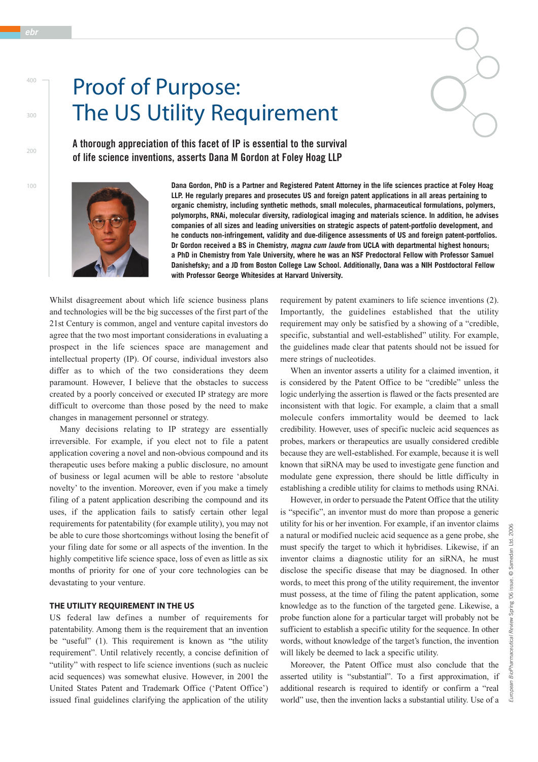# Proof of Purpose: The US Utility Requirement

**A thorough appreciation of this facet of IP is essential to the survival of life science inventions, asserts Dana M Gordon at Foley Hoag LLP**



**Dana Gordon, PhD is a Partner and Registered Patent Attorney in the life sciences practice at Foley Hoag LLP. He regularly prepares and prosecutes US and foreign patent applications in all areas pertaining to organic chemistry, including synthetic methods, small molecules, pharmaceutical formulations, polymers, polymorphs, RNAi, molecular diversity, radiological imaging and materials science. In addition, he advises companies of all sizes and leading universities on strategic aspects of patent-portfolio development, and he conducts non-infringement, validity and due-diligence assessments of US and foreign patent-portfolios. Dr Gordon received a BS in Chemistry,** *magna cum laude* **from UCLA with departmental highest honours; a PhD in Chemistry from Yale University, where he was an NSF Predoctoral Fellow with Professor Samuel Danishefsky; and a JD from Boston College Law School. Additionally, Dana was a NIH Postdoctoral Fellow with Professor George Whitesides at Harvard University.**

Whilst disagreement about which life science business plans and technologies will be the big successes of the first part of the 21st Century is common, angel and venture capital investors do agree that the two most important considerations in evaluating a prospect in the life sciences space are management and intellectual property (IP). Of course, individual investors also differ as to which of the two considerations they deem paramount. However, I believe that the obstacles to success created by a poorly conceived or executed IP strategy are more difficult to overcome than those posed by the need to make changes in management personnel or strategy.

Many decisions relating to IP strategy are essentially irreversible. For example, if you elect not to file a patent application covering a novel and non-obvious compound and its therapeutic uses before making a public disclosure, no amount of business or legal acumen will be able to restore 'absolute novelty' to the invention. Moreover, even if you make a timely filing of a patent application describing the compound and its uses, if the application fails to satisfy certain other legal requirements for patentability (for example utility), you may not be able to cure those shortcomings without losing the benefit of your filing date for some or all aspects of the invention. In the highly competitive life science space, loss of even as little as six months of priority for one of your core technologies can be devastating to your venture.

### **THE UTILITY REQUIREMENT IN THE US**

US federal law defines a number of requirements for patentability. Among them is the requirement that an invention be "useful" (1). This requirement is known as "the utility requirement". Until relatively recently, a concise definition of "utility" with respect to life science inventions (such as nucleic acid sequences) was somewhat elusive. However, in 2001 the United States Patent and Trademark Office ('Patent Office') issued final guidelines clarifying the application of the utility requirement by patent examiners to life science inventions (2). Importantly, the guidelines established that the utility requirement may only be satisfied by a showing of a "credible, specific, substantial and well-established" utility. For example, the guidelines made clear that patents should not be issued for mere strings of nucleotides.

When an inventor asserts a utility for a claimed invention, it is considered by the Patent Office to be "credible" unless the logic underlying the assertion is flawed or the facts presented are inconsistent with that logic. For example, a claim that a small molecule confers immortality would be deemed to lack credibility. However, uses of specific nucleic acid sequences as probes, markers or therapeutics are usually considered credible because they are well-established. For example, because it is well known that siRNA may be used to investigate gene function and modulate gene expression, there should be little difficulty in establishing a credible utility for claims to methods using RNAi.

However, in order to persuade the Patent Office that the utility is "specific", an inventor must do more than propose a generic utility for his or her invention. For example, if an inventor claims a natural or modified nucleic acid sequence as a gene probe, she must specify the target to which it hybridises. Likewise, if an inventor claims a diagnostic utility for an siRNA, he must disclose the specific disease that may be diagnosed. In other words, to meet this prong of the utility requirement, the inventor must possess, at the time of filing the patent application, some knowledge as to the function of the targeted gene. Likewise, a probe function alone for a particular target will probably not be sufficient to establish a specific utility for the sequence. In other words, without knowledge of the target's function, the invention will likely be deemed to lack a specific utility.

Moreover, the Patent Office must also conclude that the asserted utility is "substantial". To a first approximation, if additional research is required to identify or confirm a "real world" use, then the invention lacks a substantial utility. Use of a

400

300

 $200$